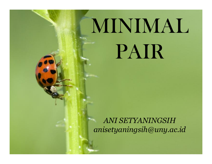## MINIMAL PAIR

**ANI SETYANINGSIH** anisetyaningsih@uny.ac.id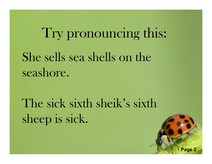## Try pronouncing this: She sells sea shells on the seashore.

The sick sixth sheik's sixth sheep is sick.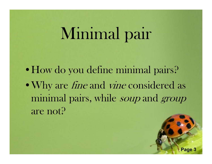## Minimal pair

• How do you define minimal pairs? • Why are *fine* and *vine* considered as minimal pairs, while soup and group are not?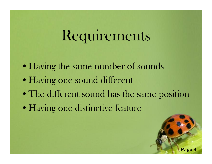## Requirements

- Having the same number of sounds
- Having one sound different
- The different sound has the same position
- Having one distinctive feature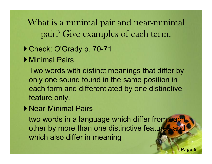What is a minimal pair and near-minimal pair? Give examples of each term.

- ▶ Check: O'Grady p. 70-71
- ▶ Minimal Pairs

Two words with distinct meanings that differ by only one sound found in the same position in each form and differentiated by one distinctive feature only.

▶ Near-Minimal Pairs

two words in a language which differ from each other by more than one distinctive features and which also differ in meaning